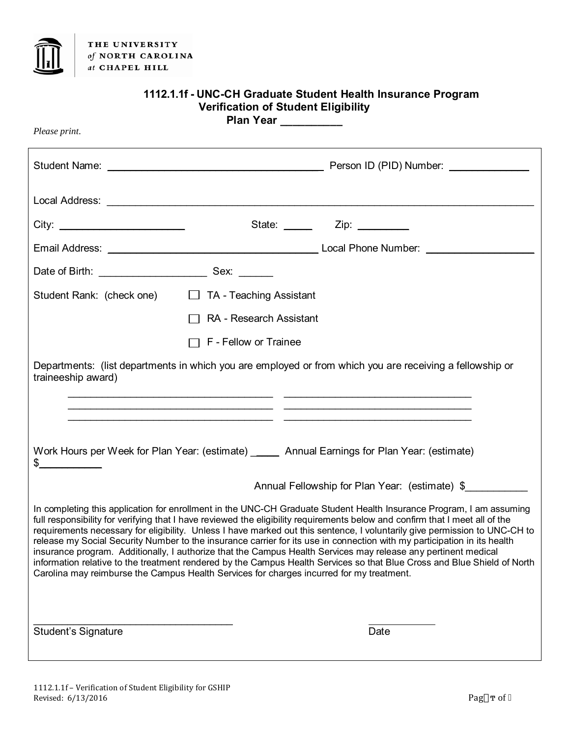

THE UNIVERSITY of NORTH CAROLINA at CHAPEL HILL

| 1112.1.1f - UNC-CH Graduate Student Health Insurance Program<br><b>Verification of Student Eligibility</b><br>Plan Year                                                                                                                                                                                                                                                                                                                                                                                                                                                                                                                                                                                                                                                                                                                                  |                                                     |                         |                                                                                                                                                                                                                                                                                                                                                                                                                          |
|----------------------------------------------------------------------------------------------------------------------------------------------------------------------------------------------------------------------------------------------------------------------------------------------------------------------------------------------------------------------------------------------------------------------------------------------------------------------------------------------------------------------------------------------------------------------------------------------------------------------------------------------------------------------------------------------------------------------------------------------------------------------------------------------------------------------------------------------------------|-----------------------------------------------------|-------------------------|--------------------------------------------------------------------------------------------------------------------------------------------------------------------------------------------------------------------------------------------------------------------------------------------------------------------------------------------------------------------------------------------------------------------------|
| Please print.                                                                                                                                                                                                                                                                                                                                                                                                                                                                                                                                                                                                                                                                                                                                                                                                                                            |                                                     |                         |                                                                                                                                                                                                                                                                                                                                                                                                                          |
|                                                                                                                                                                                                                                                                                                                                                                                                                                                                                                                                                                                                                                                                                                                                                                                                                                                          |                                                     |                         |                                                                                                                                                                                                                                                                                                                                                                                                                          |
|                                                                                                                                                                                                                                                                                                                                                                                                                                                                                                                                                                                                                                                                                                                                                                                                                                                          | Local Address: Local Address: Local Address: 2001   |                         |                                                                                                                                                                                                                                                                                                                                                                                                                          |
|                                                                                                                                                                                                                                                                                                                                                                                                                                                                                                                                                                                                                                                                                                                                                                                                                                                          |                                                     |                         | State: $\frac{1}{\sqrt{1-\frac{1}{2}}}\frac{1}{\sqrt{1-\frac{1}{2}}}\frac{1}{\sqrt{1-\frac{1}{2}}}\frac{1}{\sqrt{1-\frac{1}{2}}}\frac{1}{\sqrt{1-\frac{1}{2}}}\frac{1}{\sqrt{1-\frac{1}{2}}}\frac{1}{\sqrt{1-\frac{1}{2}}}\frac{1}{\sqrt{1-\frac{1}{2}}}\frac{1}{\sqrt{1-\frac{1}{2}}}\frac{1}{\sqrt{1-\frac{1}{2}}}\frac{1}{\sqrt{1-\frac{1}{2}}}\frac{1}{\sqrt{1-\frac{1}{2}}}\frac{1}{\sqrt{1-\frac{1}{2}}}\frac{1}{$ |
|                                                                                                                                                                                                                                                                                                                                                                                                                                                                                                                                                                                                                                                                                                                                                                                                                                                          |                                                     |                         | Email Address: <u>New York: Community Community Community Community Community Community Community Community Community Community Community Community Community Community Community Community Community Community Community Commun</u>                                                                                                                                                                                     |
|                                                                                                                                                                                                                                                                                                                                                                                                                                                                                                                                                                                                                                                                                                                                                                                                                                                          |                                                     |                         |                                                                                                                                                                                                                                                                                                                                                                                                                          |
|                                                                                                                                                                                                                                                                                                                                                                                                                                                                                                                                                                                                                                                                                                                                                                                                                                                          | Student Rank: (check one) □ TA - Teaching Assistant |                         |                                                                                                                                                                                                                                                                                                                                                                                                                          |
|                                                                                                                                                                                                                                                                                                                                                                                                                                                                                                                                                                                                                                                                                                                                                                                                                                                          |                                                     | RA - Research Assistant |                                                                                                                                                                                                                                                                                                                                                                                                                          |
|                                                                                                                                                                                                                                                                                                                                                                                                                                                                                                                                                                                                                                                                                                                                                                                                                                                          |                                                     | F - Fellow or Trainee   |                                                                                                                                                                                                                                                                                                                                                                                                                          |
| Departments: (list departments in which you are employed or from which you are receiving a fellowship or<br>traineeship award)                                                                                                                                                                                                                                                                                                                                                                                                                                                                                                                                                                                                                                                                                                                           |                                                     |                         |                                                                                                                                                                                                                                                                                                                                                                                                                          |
| Work Hours per Week for Plan Year: (estimate) _____ Annual Earnings for Plan Year: (estimate)                                                                                                                                                                                                                                                                                                                                                                                                                                                                                                                                                                                                                                                                                                                                                            |                                                     |                         |                                                                                                                                                                                                                                                                                                                                                                                                                          |
| Annual Fellowship for Plan Year: (estimate) \$                                                                                                                                                                                                                                                                                                                                                                                                                                                                                                                                                                                                                                                                                                                                                                                                           |                                                     |                         |                                                                                                                                                                                                                                                                                                                                                                                                                          |
| In completing this application for enrollment in the UNC-CH Graduate Student Health Insurance Program, I am assuming<br>full responsibility for verifying that I have reviewed the eligibility requirements below and confirm that I meet all of the<br>requirements necessary for eligibility. Unless I have marked out this sentence, I voluntarily give permission to UNC-CH to<br>release my Social Security Number to the insurance carrier for its use in connection with my participation in its health<br>insurance program. Additionally, I authorize that the Campus Health Services may release any pertinent medical<br>information relative to the treatment rendered by the Campus Health Services so that Blue Cross and Blue Shield of North<br>Carolina may reimburse the Campus Health Services for charges incurred for my treatment. |                                                     |                         |                                                                                                                                                                                                                                                                                                                                                                                                                          |
| <b>Student's Signature</b>                                                                                                                                                                                                                                                                                                                                                                                                                                                                                                                                                                                                                                                                                                                                                                                                                               |                                                     |                         | Date                                                                                                                                                                                                                                                                                                                                                                                                                     |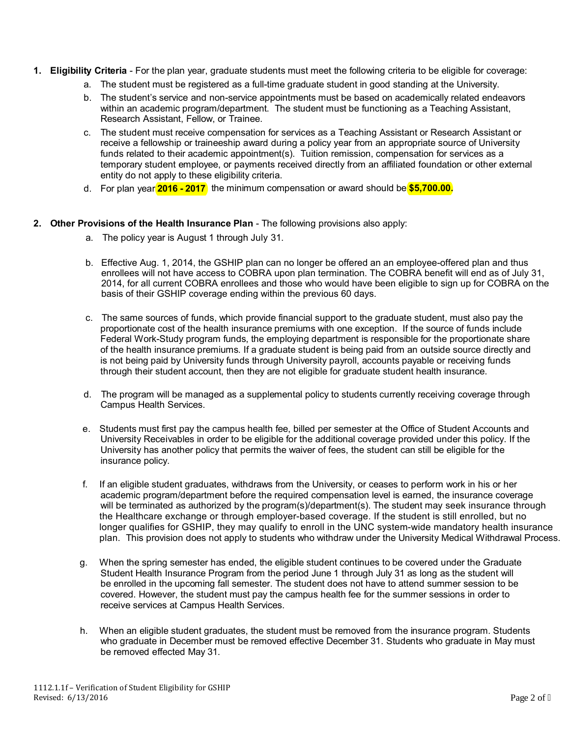- **1. Eligibility Criteria** For the plan year, graduate students must meet the following criteria to be eligible for coverage:
	- a. The student must be registered as a full-time graduate student in good standing at the University.
	- b. The student's service and non-service appointments must be based on academically related endeavors within an academic program/department. The student must be functioning as a Teaching Assistant, Research Assistant, Fellow, or Trainee.
	- c. The student must receive compensation for services as a Teaching Assistant or Research Assistant or receive a fellowship or traineeship award during a policy year from an appropriate source of University funds related to their academic appointment(s). Tuition remission, compensation for services as a temporary student employee, or payments received directly from an affiliated foundation or other external entity do not apply to these eligibility criteria.
	- d. For plan year **2016 2017** the minimum compensation or award should be **\$5,700.00.**

## **2. Other Provisions of the Health Insurance Plan** - The following provisions also apply:

- a. The policy year is August 1 through July 31.
- b. Effective Aug. 1, 2014, the GSHIP plan can no longer be offered an an employee-offered plan and thus enrollees will not have access to COBRA upon plan termination. The COBRA benefit will end as of July 31, 2014, for all current COBRA enrollees and those who would have been eligible to sign up for COBRA on the basis of their GSHIP coverage ending within the previous 60 days.
- c. The same sources of funds, which provide financial support to the graduate student, must also pay the proportionate cost of the health insurance premiums with one exception. If the source of funds include Federal Work-Study program funds, the employing department is responsible for the proportionate share of the health insurance premiums. If a graduate student is being paid from an outside source directly and is not being paid by University funds through University payroll, accounts payable or receiving funds through their student account, then they are not eligible for graduate student health insurance.
- d. The program will be managed as a supplemental policy to students currently receiving coverage through Campus Health Services.
- e. Students must first pay the campus health fee, billed per semester at the Office of Student Accounts and University Receivables in order to be eligible for the additional coverage provided under this policy. If the University has another policy that permits the waiver of fees, the student can still be eligible for the insurance policy.
- f. If an eligible student graduates, withdraws from the University, or ceases to perform work in his or her academic program/department before the required compensation level is earned, the insurance coverage will be terminated as authorized by the program(s)/department(s). The student may seek insurance through the Healthcare exchange or through employer-based coverage. If the student is still enrolled, but no longer qualifies for GSHIP, they may qualify to enroll in the UNC system-wide mandatory health insurance plan. This provision does not apply to students who withdraw under the University Medical Withdrawal Process.
- g. When the spring semester has ended, the eligible student continues to be covered under the Graduate Student Health Insurance Program from the period June 1 through July 31 as long as the student will be enrolled in the upcoming fall semester. The student does not have to attend summer session to be covered. However, the student must pay the campus health fee for the summer sessions in order to receive services at Campus Health Services.
- h. When an eligible student graduates, the student must be removed from the insurance program. Students who graduate in December must be removed effective December 31. Students who graduate in May must be removed effected May 31.